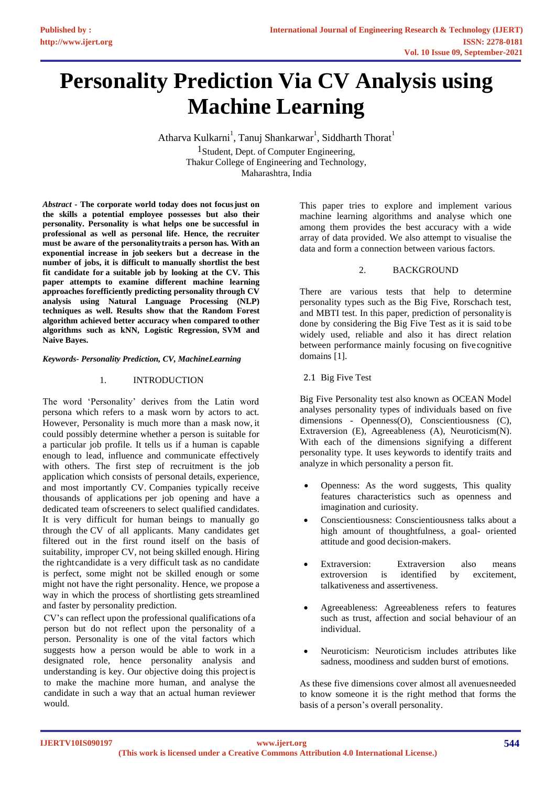# **Personality Prediction Via CV Analysis using Machine Learning**

Atharva Kulkarni $^{\rm l}$ , Tanuj Shankarwar $^{\rm l}$ , Siddharth Thorat $^{\rm l}$ 1Student, Dept. of Computer Engineering, Thakur College of Engineering and Technology, Maharashtra, India

*Abstract* **- The corporate world today does not focusjust on the skills a potential employee possesses but also their personality. Personality is what helps one be successful in professional as well as personal life. Hence, the recruiter must be aware of the personalitytraits a person has. With an exponential increase in job seekers but a decrease in the number of jobs, it is difficult to manually shortlist the best fit candidate for a suitable job by looking at the CV. This paper attempts to examine different machine learning approaches forefficiently predicting personality through CV analysis using Natural Language Processing (NLP) techniques as well. Results show that the Random Forest algorithm achieved better accuracy when compared to other algorithms such as kNN, Logistic Regression, SVM and Naive Bayes.**

## *Keywords- Personality Prediction, CV, MachineLearning*

#### 1. INTRODUCTION

The word 'Personality' derives from the Latin word persona which refers to a mask worn by actors to act. However, Personality is much more than a mask now, it could possibly determine whether a person is suitable for a particular job profile. It tells us if a human is capable enough to lead, influence and communicate effectively with others. The first step of recruitment is the job application which consists of personal details, experience, and most importantly CV. Companies typically receive thousands of applications per job opening and have a dedicated team ofscreeners to select qualified candidates. It is very difficult for human beings to manually go through the CV of all applicants. Many candidates get filtered out in the first round itself on the basis of suitability, improper CV, not being skilled enough. Hiring the rightcandidate is a very difficult task as no candidate is perfect, some might not be skilled enough or some might not have the right personality. Hence, we propose a way in which the process of shortlisting gets streamlined and faster by personality prediction.

CV's can reflect upon the professional qualifications ofa person but do not reflect upon the personality of a person. Personality is one of the vital factors which suggests how a person would be able to work in a designated role, hence personality analysis and understanding is key. Our objective doing this projectis to make the machine more human, and analyse the candidate in such a way that an actual human reviewer would.

This paper tries to explore and implement various machine learning algorithms and analyse which one among them provides the best accuracy with a wide array of data provided. We also attempt to visualise the data and form a connection between various factors.

#### 2. BACKGROUND

There are various tests that help to determine personality types such as the Big Five, Rorschach test, and MBTI test. In this paper, prediction of personalityis done by considering the Big Five Test as it is said to be widely used, reliable and also it has direct relation between performance mainly focusing on five cognitive domains [1].

2.1 Big Five Test

Big Five Personality test also known as OCEAN Model analyses personality types of individuals based on five dimensions - Openness(O), Conscientiousness (C), Extraversion (E), Agreeableness (A), Neuroticism(N). With each of the dimensions signifying a different personality type. It uses keywords to identify traits and analyze in which personality a person fit.

- Openness: As the word suggests, This quality features characteristics such as openness and imagination and curiosity.
- Conscientiousness: Conscientiousness talks about a high amount of thoughtfulness, a goal- oriented attitude and good decision-makers.
- Extraversion: Extraversion also means extroversion is identified by excitement, talkativeness and assertiveness.
- Agreeableness: Agreeableness refers to features such as trust, affection and social behaviour of an individual.
- Neuroticism: Neuroticism includes attributes like sadness, moodiness and sudden burst of emotions.

As these five dimensions cover almost all avenuesneeded to know someone it is the right method that forms the basis of a person's overall personality.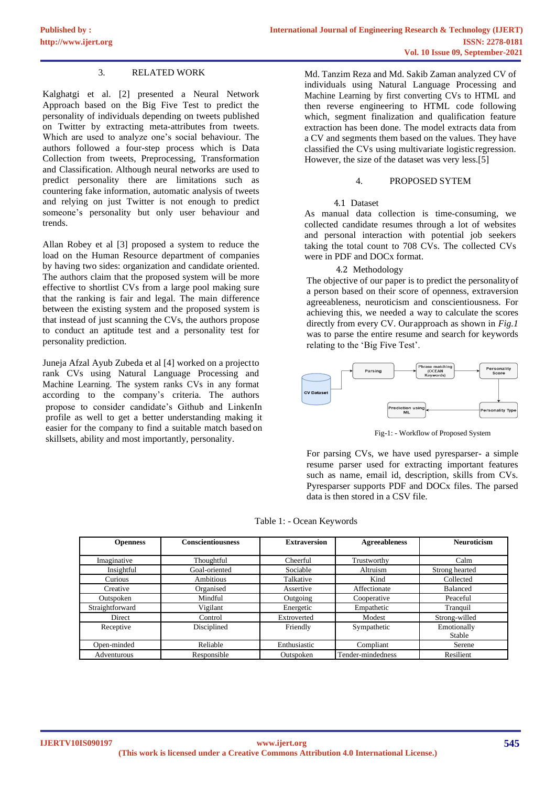# 3. RELATED WORK

Kalghatgi et al. [2] presented a Neural Network Approach based on the Big Five Test to predict the personality of individuals depending on tweets published on Twitter by extracting meta-attributes from tweets. Which are used to analyze one's social behaviour. The authors followed a four-step process which is Data Collection from tweets, Preprocessing, Transformation and Classification. Although neural networks are used to predict personality there are limitations such as countering fake information, automatic analysis of tweets and relying on just Twitter is not enough to predict someone's personality but only user behaviour and trends.

Allan Robey et al [3] proposed a system to reduce the load on the Human Resource department of companies by having two sides: organization and candidate oriented. The authors claim that the proposed system will be more effective to shortlist CVs from a large pool making sure that the ranking is fair and legal. The main difference between the existing system and the proposed system is that instead of just scanning the CVs, the authors propose to conduct an aptitude test and a personality test for personality prediction.

Juneja Afzal Ayub Zubeda et al [4] worked on a projectto rank CVs using Natural Language Processing and Machine Learning. The system ranks CVs in any format according to the company's criteria. The authors propose to consider candidate's Github and LinkenIn profile as well to get a better understanding making it easier for the company to find a suitable match based on skillsets, ability and most importantly, personality.

Md. Tanzim Reza and Md. Sakib Zaman analyzed CV of individuals using Natural Language Processing and Machine Learning by first converting CVs to HTML and then reverse engineering to HTML code following which, segment finalization and qualification feature extraction has been done. The model extracts data from a CV and segments them based on the values. They have classified the CVs using multivariate logistic regression. However, the size of the dataset was very less.[5]

## 4. PROPOSED SYTEM

#### 4.1 Dataset

As manual data collection is time-consuming, we collected candidate resumes through a lot of websites and personal interaction with potential job seekers taking the total count to 708 CVs. The collected CVs were in PDF and DOCx format.

#### 4.2 Methodology

The objective of our paper is to predict the personalityof a person based on their score of openness, extraversion agreeableness, neuroticism and conscientiousness. For achieving this, we needed a way to calculate the scores directly from every CV. Ourapproach as shown in *Fig.1*  was to parse the entire resume and search for keywords relating to the 'Big Five Test'.



Fig-1: - Workflow of Proposed System

For parsing CVs, we have used pyresparser- a simple resume parser used for extracting important features such as name, email id, description, skills from CVs. Pyresparser supports PDF and DOCx files. The parsed data is then stored in a CSV file.

Table 1: - Ocean Keywords

| <b>Openness</b> | <b>Conscientiousness</b> | <b>Extraversion</b> | <b>Agreeableness</b> | <b>Neuroticism</b>    |
|-----------------|--------------------------|---------------------|----------------------|-----------------------|
|                 |                          |                     |                      |                       |
| Imaginative     | Thoughtful               | Cheerful            | Trustworthy          | Calm                  |
| Insightful      | Goal-oriented            | Sociable            | Altruism             | Strong hearted        |
| Curious         | Ambitious                | Talkative           | Kind                 | Collected             |
| Creative        | Organised                | Assertive           | Affectionate         | <b>Balanced</b>       |
| Outspoken       | Mindful                  | Outgoing            | Cooperative          | Peaceful              |
| Straightforward | Vigilant                 | Energetic           | Empathetic           | Tranquil              |
| Direct          | Control                  | Extroverted         | Modest               | Strong-willed         |
| Receptive       | Disciplined              | Friendly            | Sympathetic          | Emotionally<br>Stable |
| Open-minded     | Reliable                 | Enthusiastic        | Compliant            | Serene                |
| Adventurous     | Responsible              | Outspoken           | Tender-mindedness    | Resilient             |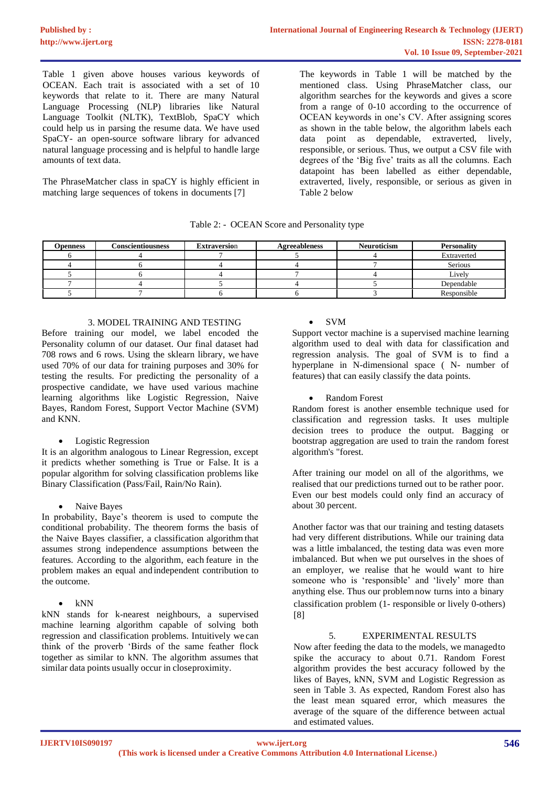Table 1 given above houses various keywords of OCEAN. Each trait is associated with a set of 10 keywords that relate to it. There are many Natural Language Processing (NLP) libraries like Natural Language Toolkit (NLTK), TextBlob, SpaCY which could help us in parsing the resume data. We have used SpaCY- an open-source software library for advanced natural language processing and is helpful to handle large amounts of text data.

The PhraseMatcher class in spaCY is highly efficient in matching large sequences of tokens in documents [7]

The keywords in Table 1 will be matched by the mentioned class. Using PhraseMatcher class, our algorithm searches for the keywords and gives a score from a range of 0-10 according to the occurrence of OCEAN keywords in one's CV. After assigning scores as shown in the table below, the algorithm labels each data point as dependable, extraverted, lively, responsible, or serious. Thus, we output a CSV file with degrees of the 'Big five' traits as all the columns. Each datapoint has been labelled as either dependable, extraverted, lively, responsible, or serious as given in Table 2 below

| Table 2: - OCEAN Score and Personality type |
|---------------------------------------------|
|---------------------------------------------|

| <b>Openness</b> | <b>Conscientiousness</b> | <b>Extraversion</b> | <b>Agreeableness</b> | <b>Neuroticism</b> | <b>Personality</b> |
|-----------------|--------------------------|---------------------|----------------------|--------------------|--------------------|
|                 |                          |                     |                      |                    | Extraverted        |
|                 |                          |                     |                      |                    | <b>Serious</b>     |
|                 |                          |                     |                      |                    | Lively             |
|                 |                          |                     |                      |                    | Dependable         |
|                 |                          |                     |                      |                    | Responsible        |

#### 3. MODEL TRAINING AND TESTING

Before training our model, we label encoded the Personality column of our dataset. Our final dataset had 708 rows and 6 rows. Using the sklearn library, we have used 70% of our data for training purposes and 30% for testing the results. For predicting the personality of a prospective candidate, we have used various machine learning algorithms like Logistic Regression, Naive Bayes, Random Forest, Support Vector Machine (SVM) and KNN.

## • Logistic Regression

It is an algorithm analogous to Linear Regression, except it predicts whether something is True or False. It is a popular algorithm for solving classification problems like Binary Classification (Pass/Fail, Rain/No Rain).

# Naive Bayes

In probability, Baye's theorem is used to compute the conditional probability. The theorem forms the basis of the Naive Bayes classifier, a classification algorithm that assumes strong independence assumptions between the features. According to the algorithm, each feature in the problem makes an equal and independent contribution to the outcome.

kNN stands for k-nearest neighbours, a supervised machine learning algorithm capable of solving both regression and classification problems. Intuitively we can think of the proverb 'Birds of the same feather flock together as similar to kNN. The algorithm assumes that similar data points usually occur in closeproximity.

# • SVM

Support vector machine is a supervised machine learning algorithm used to deal with data for classification and regression analysis. The goal of SVM is to find a hyperplane in N-dimensional space ( N- number of features) that can easily classify the data points.

# • Random Forest

Random forest is another ensemble technique used for classification and regression tasks. It uses multiple decision trees to produce the output. Bagging or bootstrap aggregation are used to train the random forest algorithm's "forest.

After training our model on all of the algorithms, we realised that our predictions turned out to be rather poor. Even our best models could only find an accuracy of about 30 percent.

Another factor was that our training and testing datasets had very different distributions. While our training data was a little imbalanced, the testing data was even more imbalanced. But when we put ourselves in the shoes of an employer, we realise that he would want to hire someone who is 'responsible' and 'lively' more than anything else. Thus our problemnow turns into a binary classification problem (1- responsible or lively 0-others) [8]

# 5. EXPERIMENTAL RESULTS

Now after feeding the data to the models, we managedto spike the accuracy to about 0.71. Random Forest algorithm provides the best accuracy followed by the likes of Bayes, kNN, SVM and Logistic Regression as seen in Table 3. As expected, Random Forest also has the least mean squared error, which measures the average of the square of the difference between actual and estimated values.

<sup>•</sup> kNN